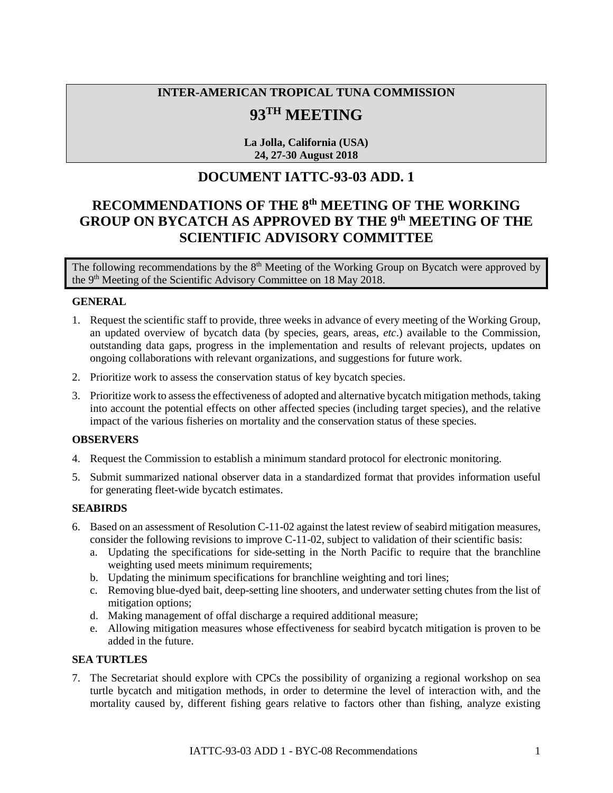# **INTER-AMERICAN TROPICAL TUNA COMMISSION**

## **93TH MEETING**

**La Jolla, California (USA) 24, 27-30 August 2018**

### **DOCUMENT IATTC-93-03 ADD. 1**

## **RECOMMENDATIONS OF THE 8th MEETING OF THE WORKING GROUP ON BYCATCH AS APPROVED BY THE 9th MEETING OF THE SCIENTIFIC ADVISORY COMMITTEE**

The following recommendations by the  $8<sup>th</sup>$  Meeting of the Working Group on Bycatch were approved by the 9<sup>th</sup> Meeting of the Scientific Advisory Committee on 18 May 2018.

#### **GENERAL**

- 1. Request the scientific staff to provide, three weeks in advance of every meeting of the Working Group, an updated overview of bycatch data (by species, gears, areas, *etc*.) available to the Commission, outstanding data gaps, progress in the implementation and results of relevant projects, updates on ongoing collaborations with relevant organizations, and suggestions for future work.
- 2. Prioritize work to assess the conservation status of key bycatch species.
- 3. Prioritize work to assessthe effectiveness of adopted and alternative bycatch mitigation methods, taking into account the potential effects on other affected species (including target species), and the relative impact of the various fisheries on mortality and the conservation status of these species.

#### **OBSERVERS**

- 4. Request the Commission to establish a minimum standard protocol for electronic monitoring.
- 5. Submit summarized national observer data in a standardized format that provides information useful for generating fleet-wide bycatch estimates.

#### **SEABIRDS**

- 6. Based on an assessment of Resolution C-11-02 against the latest review of seabird mitigation measures, consider the following revisions to improve C-11-02, subject to validation of their scientific basis:
	- a. Updating the specifications for side-setting in the North Pacific to require that the branchline weighting used meets minimum requirements;
	- b. Updating the minimum specifications for branchline weighting and tori lines;
	- c. Removing blue-dyed bait, deep-setting line shooters, and underwater setting chutes from the list of mitigation options;
	- d. Making management of offal discharge a required additional measure;
	- e. Allowing mitigation measures whose effectiveness for seabird bycatch mitigation is proven to be added in the future.

#### **SEA TURTLES**

7. The Secretariat should explore with CPCs the possibility of organizing a regional workshop on sea turtle bycatch and mitigation methods, in order to determine the level of interaction with, and the mortality caused by, different fishing gears relative to factors other than fishing, analyze existing